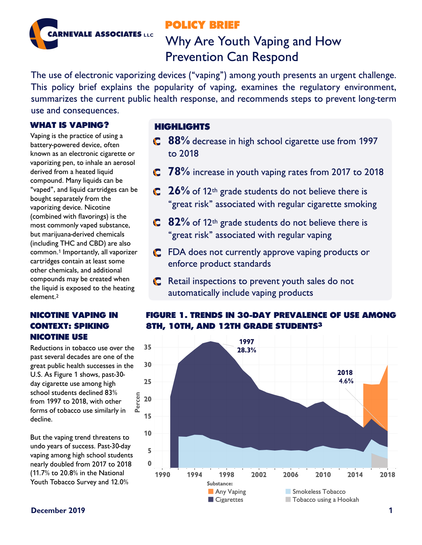## **POLICY BRIEF**



# Why Are Youth Vaping and How Prevention Can Respond

The use of electronic vaporizing devices ("vaping") among youth presents an urgent challenge. This policy brief explains the popularity of vaping, examines the regulatory environment, summarizes the current public health response, and recommends steps to prevent long-term use and consequences.

## **WHAT IS VAPING?**

Vaping is the practice of using a battery-powered device, often known as an electronic cigarette or vaporizing pen, to inhale an aerosol derived from a heated liquid compound. Many liquids can be "vaped", and liquid cartridges can be bought separately from the vaporizing device. Nicotine (combined with flavorings) is the most commonly vaped substance, but marijuana-derived chemicals (including THC and CBD) are also common.1 Importantly, all vaporizer cartridges contain at least some other chemicals, and additional compounds may be created when the liquid is exposed to the heating element.2

## **NICOTINE VAPING IN CONTEXT: SPIKING NICOTINE USE**

Reductions in tobacco use over the past several decades are one of the great public health successes in the U.S. As Figure 1 shows, past-30 day cigarette use among high school students declined 83% from 1997 to 2018, with other forms of tobacco use similarly in decline.

But the vaping trend threatens to undo years of success. Past-30-day vaping among high school students nearly doubled from 2017 to 2018 (11.7% to 20.8% in the National Youth Tobacco Survey and 12.0%

## **HIGHLIGHTS**

- **C** 88% decrease in high school cigarette use from 1997 to 2018
- **78%** increase in youth vaping rates from 2017 to 2018
- **26%** of 12<sup>th</sup> grade students do not believe there is "great risk" associated with regular cigarette smoking
- **82%** of 12<sup>th</sup> grade students do not believe there is "great risk" associated with regular vaping
- **C** FDA does not currently approve vaping products or enforce product standards
- **C** Retail inspections to prevent youth sales do not automatically include vaping products



## **FIGURE 1. TRENDS IN 30-DAY PREVALENCE OF USE AMONG 8TH, 10TH, AND 12TH GRADE STUDENTS3**

### **December 2019 1**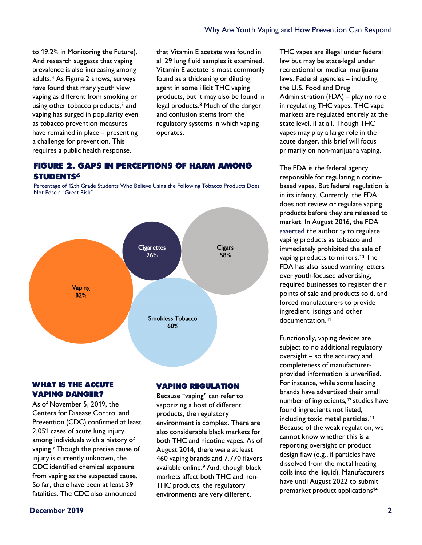to 19.2% in Monitoring the Future). And research suggests that vaping prevalence is also increasing among adults.4 As Figure 2 shows, surveys have found that many youth view vaping as different from smoking or using other tobacco products,<sup>5</sup> and vaping has surged in popularity even as tobacco prevention measures have remained in place – presenting a challenge for prevention. This requires a public health response.

that Vitamin E acetate was found in all 29 lung fluid samples it examined. Vitamin E acetate is most commonly found as a thickening or diluting agent in some illicit THC vaping products, but it may also be found in legal products.8 Much of the danger and confusion stems from the regulatory systems in which vaping operates.

## **FIGURE 2. GAPS IN PERCEPTIONS OF HARM AMONG STUDENTS6**

Percentage of 12th Grade Students Who Believe Using the Following Tobacco Products Does Not Pose a "Great Risk"



#### **WHAT IS THE ACCUTE VAPING DANGER?**

As of November 5, 2019, the Centers for Disease Control and Prevention (CDC) confirmed at least 2,051 cases of acute lung injury among individuals with a history of vaping.7 Though the precise cause of injury is currently unknown, the CDC identified chemical exposure from vaping as the suspected cause. So far, there have been at least 39 fatalities. The CDC also announced

#### **VAPING REGULATION**

Because "vaping" can refer to vaporizing a host of different products, the regulatory environment is complex. There are also considerable black markets for both THC and nicotine vapes. As of August 2014, there were at least 460 vaping brands and 7,770 flavors available online.9 And, though black markets affect both THC and non-THC products, the regulatory environments are very different.

THC vapes are illegal under federal law but may be state-legal under recreational or medical marijuana laws. Federal agencies – including the U.S. Food and Drug Administration (FDA) – play no role in regulating THC vapes. THC vape markets are regulated entirely at the state level, if at all. Though THC vapes may play a large role in the acute danger, this brief will focus primarily on non-marijuana vaping.

The FDA is the federal agency responsible for regulating nicotinebased vapes. But federal regulation is in its infancy. Currently, the FDA does not review or regulate vaping products before they are released to market. In August 2016, the FDA asserted the authority to regulate vaping products as tobacco and immediately prohibited the sale of vaping products to minors.10 The FDA has also issued warning letters over youth-focused advertising, required businesses to register their points of sale and products sold, and forced manufacturers to provide ingredient listings and other documentation.11

Functionally, vaping devices are subject to no additional regulatory oversight – so the accuracy and completeness of manufacturerprovided information is unverified. For instance, while some leading brands have advertised their small number of ingredients,<sup>12</sup> studies have found ingredients not listed, including toxic metal particles.<sup>13</sup> Because of the weak regulation, we cannot know whether this is a reporting oversight or product design flaw (e.g., if particles have dissolved from the metal heating coils into the liquid). Manufacturers have until August 2022 to submit premarket product applications14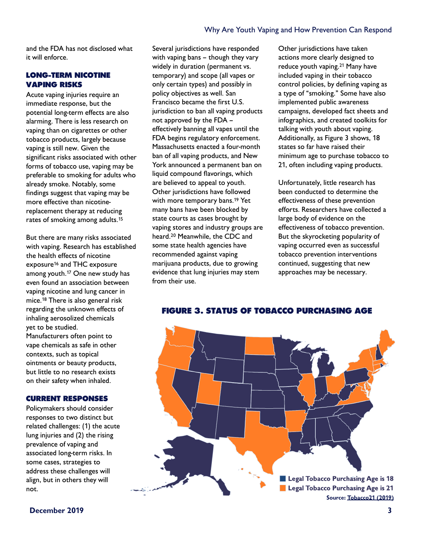#### Why Are Youth Vaping and How Prevention Can Respond

and the FDA has not disclosed what it will enforce.

#### **LONG-TERM NICOTINE VAPING RISKS**

Acute vaping injuries require an immediate response, but the potential long-term effects are also alarming. There is less research on vaping than on cigarettes or other tobacco products, largely because vaping is still new. Given the significant risks associated with other forms of tobacco use, vaping may be preferable to smoking for adults who already smoke. Notably, some findings suggest that vaping may be more effective than nicotinereplacement therapy at reducing rates of smoking among adults.15

But there are many risks associated with vaping. Research has established the health effects of nicotine exposure<sup>16</sup> and THC exposure among youth.17 One new study has even found an association between vaping nicotine and lung cancer in mice.18 There is also general risk regarding the unknown effects of inhaling aerosolized chemicals yet to be studied. Manufacturers often point to vape chemicals as safe in other contexts, such as topical ointments or beauty products, but little to no research exists on their safety when inhaled.

#### **CURRENT RESPONSES**

Policymakers should consider responses to two distinct but related challenges: (1) the acute lung injuries and (2) the rising prevalence of vaping and associated long-term risks. In some cases, strategies to address these challenges will align, but in others they will not.

Several jurisdictions have responded with vaping bans – though they vary widely in duration (permanent vs. temporary) and scope (all vapes or only certain types) and possibly in policy objectives as well. San Francisco became the first U.S. jurisdiction to ban all vaping products not approved by the FDA – effectively banning all vapes until the FDA begins regulatory enforcement. Massachusetts enacted a four-month ban of all vaping products, and New York announced a permanent ban on liquid compound flavorings, which are believed to appeal to youth. Other jurisdictions have followed with more temporary bans.<sup>19</sup> Yet many bans have been blocked by state courts as cases brought by vaping stores and industry groups are heard.20 Meanwhile, the CDC and some state health agencies have recommended against vaping marijuana products, due to growing evidence that lung injuries may stem from their use.

Other jurisdictions have taken actions more clearly designed to reduce youth vaping.21 Many have included vaping in their tobacco control policies, by defining vaping as a type of "smoking." Some have also implemented public awareness campaigns, developed fact sheets and infographics, and created toolkits for talking with youth about vaping. Additionally, as Figure 3 shows, 18 states so far have raised their minimum age to purchase tobacco to 21, often including vaping products.

Unfortunately, little research has been conducted to determine the effectiveness of these prevention efforts. Researchers have collected a large body of evidence on the effectiveness of tobacco prevention. But the skyrocketing popularity of vaping occurred even as successful tobacco prevention interventions continued, suggesting that new approaches may be necessary.



#### **FIGURE 3. STATUS OF TOBACCO PURCHASING AGE**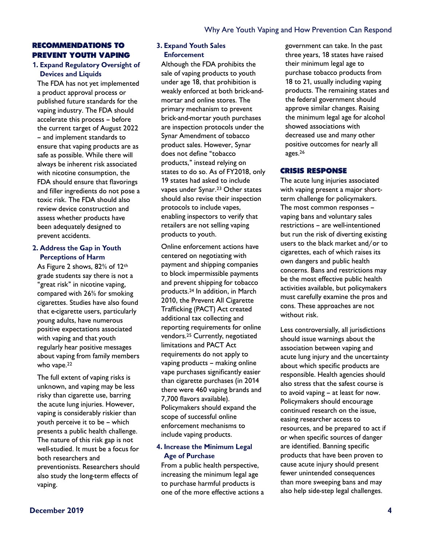#### **RECOMMENDATIONS TO PREVENT YOUTH VAPING**

#### **1. Expand Regulatory Oversight of Devices and Liquids**

The FDA has not yet implemented a product approval process or published future standards for the vaping industry. The FDA should accelerate this process – before the current target of August 2022 – and implement standards to ensure that vaping products are as safe as possible. While there will always be inherent risk associated with nicotine consumption, the FDA should ensure that flavorings and filler ingredients do not pose a toxic risk. The FDA should also review device construction and assess whether products have been adequately designed to prevent accidents.

#### **2. Address the Gap in Youth Perceptions of Harm**

As Figure 2 shows, 82% of 12th grade students say there is not a "great risk" in nicotine vaping, compared with 26% for smoking cigarettes. Studies have also found that e-cigarette users, particularly young adults, have numerous positive expectations associated with vaping and that youth regularly hear positive messages about vaping from family members who vape.<sup>22</sup>

The full extent of vaping risks is unknown, and vaping may be less risky than cigarette use, barring the acute lung injuries. However, vaping is considerably riskier than youth perceive it to be – which presents a public health challenge. The nature of this risk gap is not well-studied. It must be a focus for both researchers and preventionists. Researchers should also study the long-term effects of vaping.

#### **3. Expand Youth Sales Enforcement**

Although the FDA prohibits the sale of vaping products to youth under age 18, that prohibition is weakly enforced at both brick-andmortar and online stores. The primary mechanism to prevent brick-and-mortar youth purchases are inspection protocols under the Synar Amendment of tobacco product sales. However, Synar does not define "tobacco products," instead relying on states to do so. As of FY2018, only 19 states had asked to include vapes under Synar.<sup>23</sup> Other states should also revise their inspection protocols to include vapes, enabling inspectors to verify that retailers are not selling vaping products to youth.

Online enforcement actions have centered on negotiating with payment and shipping companies to block impermissible payments and prevent shipping for tobacco products.24 In addition, in March 2010, the Prevent All Cigarette Trafficking (PACT) Act created additional tax collecting and reporting requirements for online vendors.25 Currently, negotiated limitations and PACT Act requirements do not apply to vaping products – making online vape purchases significantly easier than cigarette purchases (in 2014 there were 460 vaping brands and 7,700 flavors available). Policymakers should expand the scope of successful online enforcement mechanisms to include vaping products.

#### **4. Increase the Minimum Legal Age of Purchase**

From a public health perspective, increasing the minimum legal age to purchase harmful products is one of the more effective actions a government can take. In the past three years, 18 states have raised their minimum legal age to purchase tobacco products from 18 to 21, usually including vaping products. The remaining states and the federal government should approve similar changes. Raising the minimum legal age for alcohol showed associations with decreased use and many other positive outcomes for nearly all ages.26

#### **CRISIS RESPONSE**

The acute lung injuries associated with vaping present a major shortterm challenge for policymakers. The most common responses – vaping bans and voluntary sales restrictions – are well-intentioned but run the risk of diverting existing users to the black market and/or to cigarettes, each of which raises its own dangers and public health concerns. Bans and restrictions may be the most effective public health activities available, but policymakers must carefully examine the pros and cons. These approaches are not without risk.

Less controversially, all jurisdictions should issue warnings about the association between vaping and acute lung injury and the uncertainty about which specific products are responsible. Health agencies should also stress that the safest course is to avoid vaping – at least for now. Policymakers should encourage continued research on the issue, easing researcher access to resources, and be prepared to act if or when specific sources of danger are identified. Banning specific products that have been proven to cause acute injury should present fewer unintended consequences than more sweeping bans and may also help side-step legal challenges.